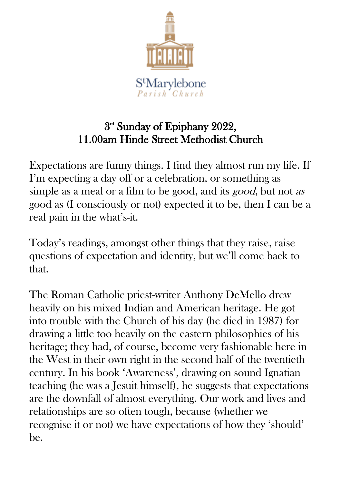

## 3<sup>rd</sup> Sunday of Epiphany 2022, 11.00am Hinde Street Methodist Church

Expectations are funny things. I find they almost run my life. If I'm expecting a day off or a celebration, or something as simple as a meal or a film to be good, and its *good*, but not as good as (I consciously or not) expected it to be, then I can be a real pain in the what's-it.

Today's readings, amongst other things that they raise, raise questions of expectation and identity, but we'll come back to that.

The Roman Catholic priest-writer Anthony DeMello drew heavily on his mixed Indian and American heritage. He got into trouble with the Church of his day (he died in 1987) for drawing a little too heavily on the eastern philosophies of his heritage; they had, of course, become very fashionable here in the West in their own right in the second half of the twentieth century. In his book 'Awareness', drawing on sound Ignatian teaching (he was a Jesuit himself), he suggests that expectations are the downfall of almost everything. Our work and lives and relationships are so often tough, because (whether we recognise it or not) we have expectations of how they 'should' be.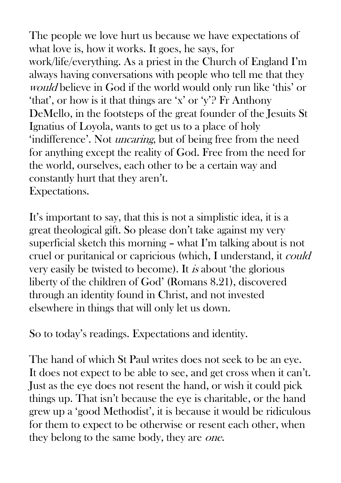The people we love hurt us because we have expectations of what love is, how it works. It goes, he says, for work/life/everything. As a priest in the Church of England I'm always having conversations with people who tell me that they would believe in God if the world would only run like 'this' or 'that', or how is it that things are 'x' or 'y'? Fr Anthony DeMello, in the footsteps of the great founder of the Jesuits St Ignatius of Loyola, wants to get us to a place of holy 'indifference'. Not uncaring, but of being free from the need for anything except the reality of God. Free from the need for the world, ourselves, each other to be a certain way and constantly hurt that they aren't. Expectations.

It's important to say, that this is not a simplistic idea, it is a great theological gift. So please don't take against my very superficial sketch this morning – what I'm talking about is not cruel or puritanical or capricious (which, I understand, it could very easily be twisted to become). It is about 'the glorious liberty of the children of God' (Romans 8.21), discovered through an identity found in Christ, and not invested elsewhere in things that will only let us down.

So to today's readings. Expectations and identity.

The hand of which St Paul writes does not seek to be an eye. It does not expect to be able to see, and get cross when it can't. Just as the eye does not resent the hand, or wish it could pick things up. That isn't because the eye is charitable, or the hand grew up a 'good Methodist', it is because it would be ridiculous for them to expect to be otherwise or resent each other, when they belong to the same body, they are *one*.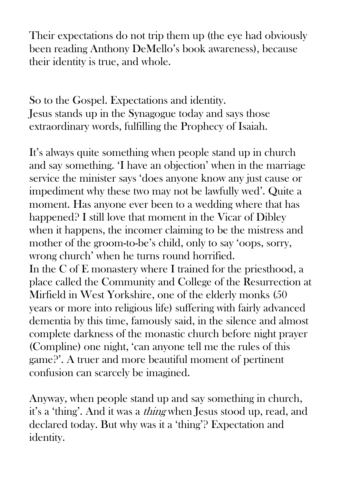Their expectations do not trip them up (the eye had obviously been reading Anthony DeMello's book awareness), because their identity is true, and whole.

So to the Gospel. Expectations and identity. Jesus stands up in the Synagogue today and says those extraordinary words, fulfilling the Prophecy of Isaiah.

It's always quite something when people stand up in church and say something. 'I have an objection' when in the marriage service the minister says 'does anyone know any just cause or impediment why these two may not be lawfully wed'. Quite a moment. Has anyone ever been to a wedding where that has happened? I still love that moment in the Vicar of Dibley when it happens, the incomer claiming to be the mistress and mother of the groom-to-be's child, only to say 'oops, sorry, wrong church' when he turns round horrified. In the C of E monastery where I trained for the priesthood, a place called the Community and College of the Resurrection at Mirfield in West Yorkshire, one of the elderly monks (50 years or more into religious life) suffering with fairly advanced dementia by this time, famously said, in the silence and almost complete darkness of the monastic church before night prayer (Compline) one night, 'can anyone tell me the rules of this game?'. A truer and more beautiful moment of pertinent confusion can scarcely be imagined.

Anyway, when people stand up and say something in church, it's a 'thing'. And it was a thing when Jesus stood up, read, and declared today. But why was it a 'thing'? Expectation and identity.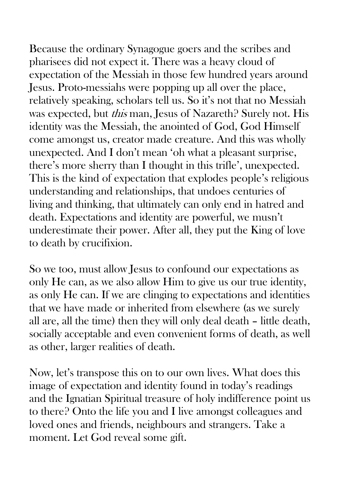Because the ordinary Synagogue goers and the scribes and pharisees did not expect it. There was a heavy cloud of expectation of the Messiah in those few hundred years around Jesus. Proto-messiahs were popping up all over the place, relatively speaking, scholars tell us. So it's not that no Messiah was expected, but this man, Jesus of Nazareth? Surely not. His identity was the Messiah, the anointed of God, God Himself come amongst us, creator made creature. And this was wholly unexpected. And I don't mean 'oh what a pleasant surprise, there's more sherry than I thought in this trifle', unexpected. This is the kind of expectation that explodes people's religious understanding and relationships, that undoes centuries of living and thinking, that ultimately can only end in hatred and death. Expectations and identity are powerful, we musn't underestimate their power. After all, they put the King of love to death by crucifixion.

So we too, must allow Jesus to confound our expectations as only He can, as we also allow Him to give us our true identity, as only He can. If we are clinging to expectations and identities that we have made or inherited from elsewhere (as we surely all are, all the time) then they will only deal death – little death, socially acceptable and even convenient forms of death, as well as other, larger realities of death.

Now, let's transpose this on to our own lives. What does this image of expectation and identity found in today's readings and the Ignatian Spiritual treasure of holy indifference point us to there? Onto the life you and I live amongst colleagues and loved ones and friends, neighbours and strangers. Take a moment. Let God reveal some gift.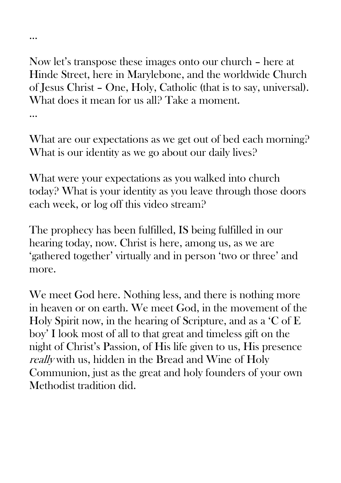Now let's transpose these images onto our church – here at Hinde Street, here in Marylebone, and the worldwide Church of Jesus Christ – One, Holy, Catholic (that is to say, universal). What does it mean for us all? Take a moment.

…

…

What are our expectations as we get out of bed each morning? What is our identity as we go about our daily lives?

What were your expectations as you walked into church today? What is your identity as you leave through those doors each week, or log off this video stream?

The prophecy has been fulfilled, IS being fulfilled in our hearing today, now. Christ is here, among us, as we are 'gathered together' virtually and in person 'two or three' and more.

We meet God here. Nothing less, and there is nothing more in heaven or on earth. We meet God, in the movement of the Holy Spirit now, in the hearing of Scripture, and as a 'C of E boy' I look most of all to that great and timeless gift on the night of Christ's Passion, of His life given to us, His presence really with us, hidden in the Bread and Wine of Holy Communion, just as the great and holy founders of your own Methodist tradition did.